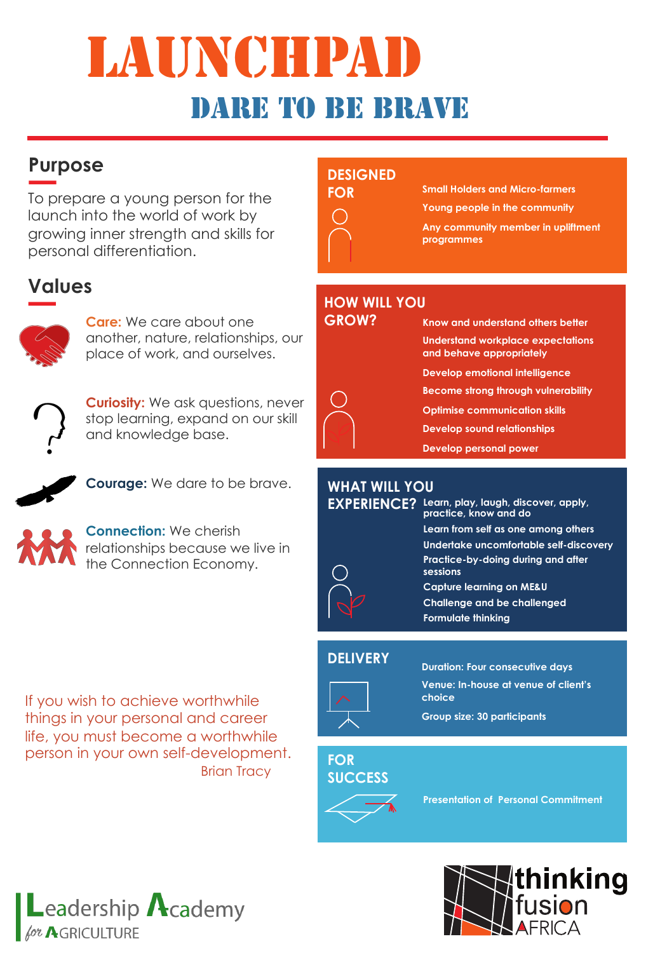# LAUNCHPA dare to be brave

## **Purpose**

To prepare a young person for the launch into the world of work by growing inner strength and skills for personal differentiation.

## **Values**



**Care:** We care about one another, nature, relationships, our place of work, and ourselves.



**Curiosity:** We ask questions, never stop learning, expand on our skill and knowledge base.



**Courage:** We dare to be brave.



**Connection:** We cherish relationships because we live in the Connection Economy.

If you wish to achieve worthwhile things in your personal and career life, you must become a worthwhile person in your own self-development. **Brian Tracy** 





**Small Holders and Micro-farmers Young people in the community**

**Any community member in upliftment programmes**

### **HOW WILL YOU**



**Know and understand others better Understand workplace expectations and behave appropriately Develop emotional intelligence Become strong through vulnerability Optimise communication skills Develop sound relationships Develop personal power**

### **WHAT WILL YOU**

| <b>EXPERIENCE?</b> | Learn, play, laugh, discover, apply,<br>practice, know and do |
|--------------------|---------------------------------------------------------------|
|                    | Learn from self as one among others                           |
|                    | Undertake uncomfortable self-discovery                        |
|                    | Practice-by-doing during and after<br>sessions                |
|                    | <b>Capture learning on ME&amp;U</b>                           |
|                    | <b>Challenge and be challenged</b>                            |
|                    | <b>Formulate thinking</b>                                     |

### **DELIVERY**



**Duration: Four consecutive days Venue: In-house at venue of client's choice**

**Group size: 30 participants**

#### **FOR SUCCESS**



**Presentation of Personal Commitment**